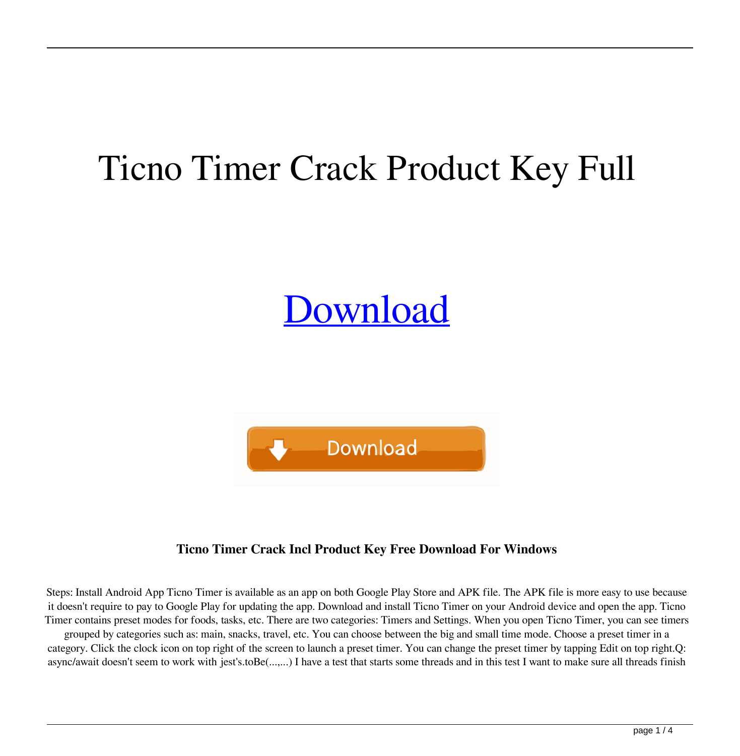## Ticno Timer Crack Product Key Full

# **[Download](http://evacdir.com/schwartz/VGljbm8gVGltZXIVGl.bucknell?ibuprophin=ZG93bmxvYWR8aFE1TldOeWRueDhNVFkxTkRRek5qWTFPSHg4TWpVNU1IeDhLRTBwSUZkdmNtUndjbVZ6Y3lCYldFMU1VbEJESUZZeUlGQkVSbDA&rismed=)**



### **Ticno Timer Crack Incl Product Key Free Download For Windows**

Steps: Install Android App Ticno Timer is available as an app on both Google Play Store and APK file. The APK file is more easy to use because it doesn't require to pay to Google Play for updating the app. Download and install Ticno Timer on your Android device and open the app. Ticno Timer contains preset modes for foods, tasks, etc. There are two categories: Timers and Settings. When you open Ticno Timer, you can see timers grouped by categories such as: main, snacks, travel, etc. You can choose between the big and small time mode. Choose a preset timer in a category. Click the clock icon on top right of the screen to launch a preset timer. You can change the preset timer by tapping Edit on top right.Q: async/await doesn't seem to work with jest's.toBe(...,...) I have a test that starts some threads and in this test I want to make sure all threads finish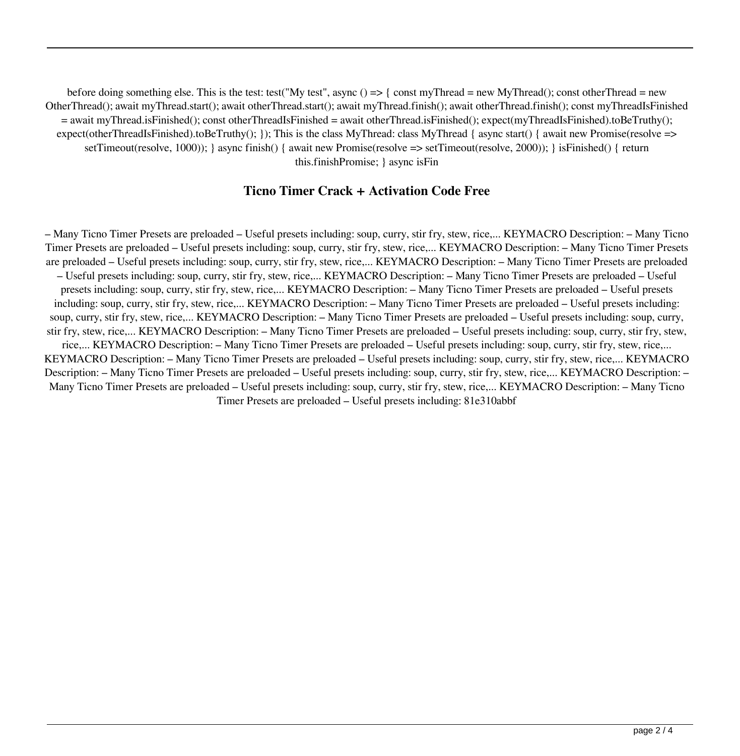before doing something else. This is the test: test("My test", async () => { const myThread = new MyThread(); const otherThread = new OtherThread(); await myThread.start(); await otherThread.start(); await myThread.finish(); await otherThread.finish(); const myThreadIsFinished = await myThread.isFinished(); const otherThreadIsFinished = await otherThread.isFinished(); expect(myThreadIsFinished).toBeTruthy(); expect(otherThreadIsFinished).toBeTruthy(); }); This is the class MyThread: class MyThread { async start() { await new Promise(resolve => setTimeout(resolve, 1000)); } async finish() { await new Promise(resolve => setTimeout(resolve, 2000)); } isFinished() { return this.finishPromise; } async isFin

#### **Ticno Timer Crack + Activation Code Free**

– Many Ticno Timer Presets are preloaded – Useful presets including: soup, curry, stir fry, stew, rice,... KEYMACRO Description: – Many Ticno Timer Presets are preloaded – Useful presets including: soup, curry, stir fry, stew, rice,... KEYMACRO Description: – Many Ticno Timer Presets are preloaded – Useful presets including: soup, curry, stir fry, stew, rice,... KEYMACRO Description: – Many Ticno Timer Presets are preloaded – Useful presets including: soup, curry, stir fry, stew, rice,... KEYMACRO Description: – Many Ticno Timer Presets are preloaded – Useful presets including: soup, curry, stir fry, stew, rice,... KEYMACRO Description: – Many Ticno Timer Presets are preloaded – Useful presets including: soup, curry, stir fry, stew, rice,... KEYMACRO Description: – Many Ticno Timer Presets are preloaded – Useful presets including: soup, curry, stir fry, stew, rice,... KEYMACRO Description: – Many Ticno Timer Presets are preloaded – Useful presets including: soup, curry, stir fry, stew, rice,... KEYMACRO Description: – Many Ticno Timer Presets are preloaded – Useful presets including: soup, curry, stir fry, stew, rice,... KEYMACRO Description: – Many Ticno Timer Presets are preloaded – Useful presets including: soup, curry, stir fry, stew, rice,... KEYMACRO Description: – Many Ticno Timer Presets are preloaded – Useful presets including: soup, curry, stir fry, stew, rice,... KEYMACRO Description: – Many Ticno Timer Presets are preloaded – Useful presets including: soup, curry, stir fry, stew, rice,... KEYMACRO Description: – Many Ticno Timer Presets are preloaded – Useful presets including: soup, curry, stir fry, stew, rice,... KEYMACRO Description: – Many Ticno Timer Presets are preloaded – Useful presets including: 81e310abbf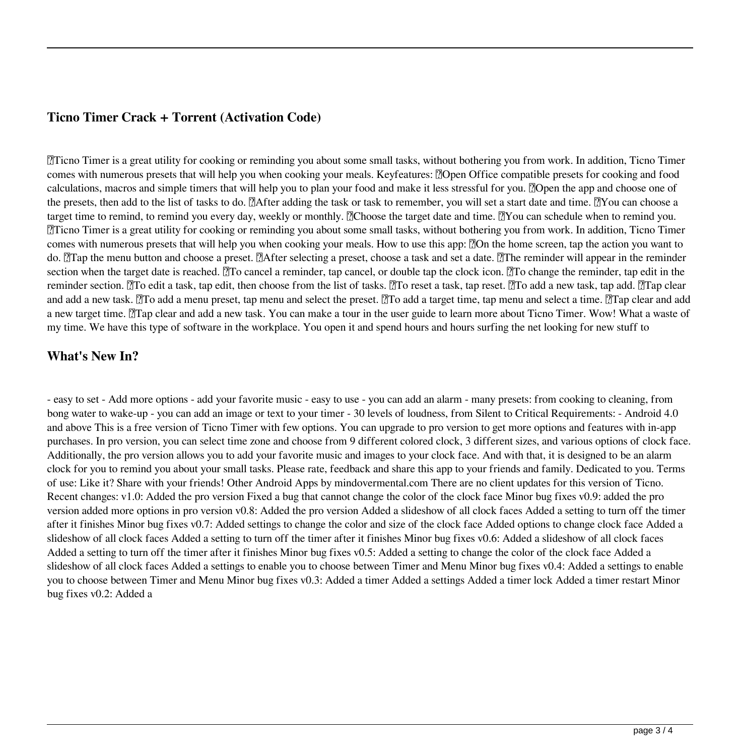#### **Ticno Timer Crack + Torrent (Activation Code)**

Ticno Timer is a great utility for cooking or reminding you about some small tasks, without bothering you from work. In addition, Ticno Timer comes with numerous presets that will help you when cooking your meals. Keyfeatures: [7]Open Office compatible presets for cooking and food calculations, macros and simple timers that will help you to plan your food and make it less stressful for you. **O**pen the app and choose one of the presets, then add to the list of tasks to do. Mafter adding the task or task to remember, you will set a start date and time. Now can choose a target time to remind, to remind you every day, weekly or monthly. Mehoose the target date and time. Mou can schedule when to remind you. Ticno Timer is a great utility for cooking or reminding you about some small tasks, without bothering you from work. In addition, Ticno Timer comes with numerous presets that will help you when cooking your meals. How to use this app: [?]On the home screen, tap the action you want to do. The menu button and choose a preset. Talfter selecting a preset, choose a task and set a date. The reminder will appear in the reminder section when the target date is reached. To cancel a reminder, tap cancel, or double tap the clock icon. To change the reminder, tap edit in the reminder section. The edit a task, tap edit, then choose from the list of tasks. The reset a task, tap reset. The add a new task, tap add. The clear and add a new task. M<sub>c</sub> add a menu preset, tap menu and select the preset. Mc add a target time, tap menu and select a time. Mc clear and add a new target time. The plear and add a new task. You can make a tour in the user guide to learn more about Ticno Timer. Wow! What a waste of my time. We have this type of software in the workplace. You open it and spend hours and hours surfing the net looking for new stuff to

#### **What's New In?**

- easy to set - Add more options - add your favorite music - easy to use - you can add an alarm - many presets: from cooking to cleaning, from bong water to wake-up - you can add an image or text to your timer - 30 levels of loudness, from Silent to Critical Requirements: - Android 4.0 and above This is a free version of Ticno Timer with few options. You can upgrade to pro version to get more options and features with in-app purchases. In pro version, you can select time zone and choose from 9 different colored clock, 3 different sizes, and various options of clock face. Additionally, the pro version allows you to add your favorite music and images to your clock face. And with that, it is designed to be an alarm clock for you to remind you about your small tasks. Please rate, feedback and share this app to your friends and family. Dedicated to you. Terms of use: Like it? Share with your friends! Other Android Apps by mindovermental.com There are no client updates for this version of Ticno. Recent changes: v1.0: Added the pro version Fixed a bug that cannot change the color of the clock face Minor bug fixes v0.9: added the pro version added more options in pro version v0.8: Added the pro version Added a slideshow of all clock faces Added a setting to turn off the timer after it finishes Minor bug fixes v0.7: Added settings to change the color and size of the clock face Added options to change clock face Added a slideshow of all clock faces Added a setting to turn off the timer after it finishes Minor bug fixes v0.6: Added a slideshow of all clock faces Added a setting to turn off the timer after it finishes Minor bug fixes v0.5: Added a setting to change the color of the clock face Added a slideshow of all clock faces Added a settings to enable you to choose between Timer and Menu Minor bug fixes v0.4: Added a settings to enable you to choose between Timer and Menu Minor bug fixes v0.3: Added a timer Added a settings Added a timer lock Added a timer restart Minor bug fixes v0.2: Added a